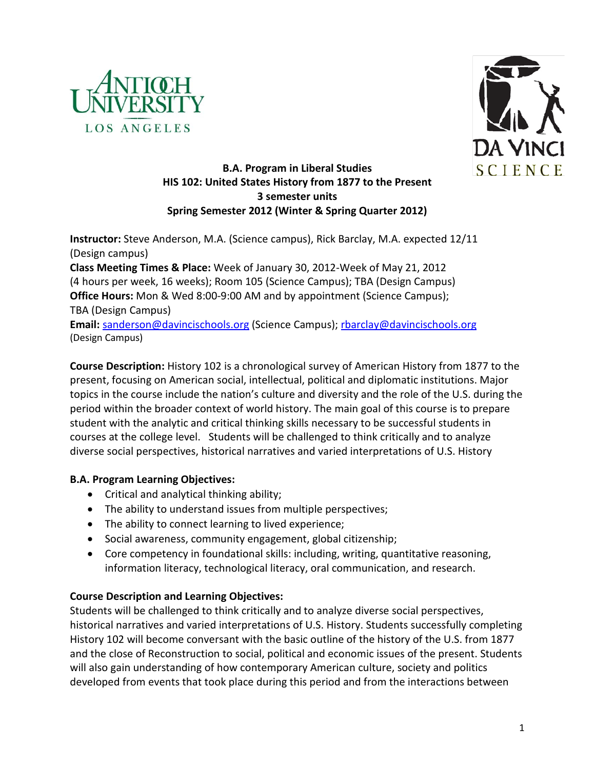



# **B.A. Program in Liberal Studies HIS 102: United States History from 1877 to the Present 3 semester units Spring Semester 2012 (Winter & Spring Quarter 2012)**

**Instructor:** Steve Anderson, M.A. (Science campus), Rick Barclay, M.A. expected 12/11 (Design campus) **Class Meeting Times & Place:** Week of January 30, 2012-Week of May 21, 2012 (4 hours per week, 16 weeks); Room 105 (Science Campus); TBA (Design Campus) **Office Hours:** Mon & Wed 8:00-9:00 AM and by appointment (Science Campus); TBA (Design Campus) Email: [sanderson@davincischools.org](mailto:sanderson@davincischools.org) (Science Campus); [rbarclay@davincischools.org](mailto:rbarclay@davincischools.org) (Design Campus)

**Course Description:** History 102 is a chronological survey of American History from 1877 to the present, focusing on American social, intellectual, political and diplomatic institutions. Major topics in the course include the nation's culture and diversity and the role of the U.S. during the period within the broader context of world history. The main goal of this course is to prepare student with the analytic and critical thinking skills necessary to be successful students in courses at the college level. Students will be challenged to think critically and to analyze diverse social perspectives, historical narratives and varied interpretations of U.S. History

# **B.A. Program Learning Objectives:**

- Critical and analytical thinking ability;
- The ability to understand issues from multiple perspectives;
- The ability to connect learning to lived experience;
- Social awareness, community engagement, global citizenship;
- Core competency in foundational skills: including, writing, quantitative reasoning, information literacy, technological literacy, oral communication, and research.

# **Course Description and Learning Objectives:**

Students will be challenged to think critically and to analyze diverse social perspectives, historical narratives and varied interpretations of U.S. History. Students successfully completing History 102 will become conversant with the basic outline of the history of the U.S. from 1877 and the close of Reconstruction to social, political and economic issues of the present. Students will also gain understanding of how contemporary American culture, society and politics developed from events that took place during this period and from the interactions between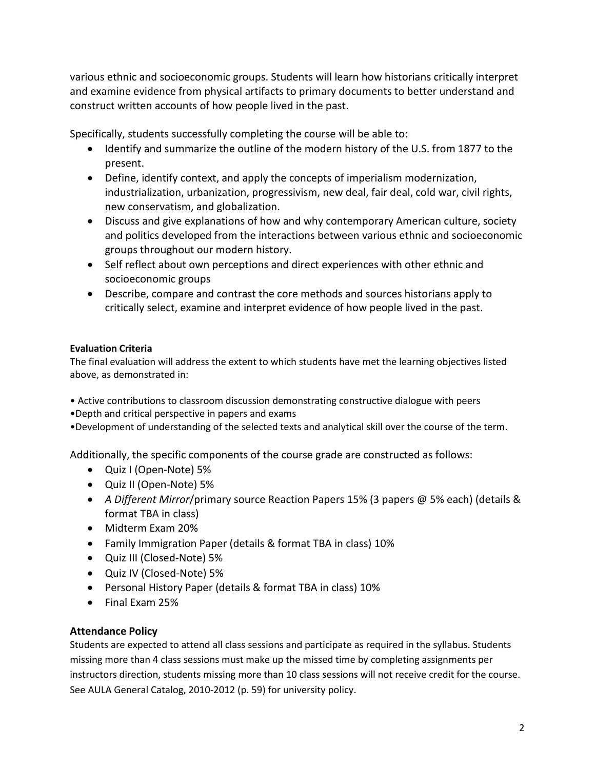various ethnic and socioeconomic groups. Students will learn how historians critically interpret and examine evidence from physical artifacts to primary documents to better understand and construct written accounts of how people lived in the past.

Specifically, students successfully completing the course will be able to:

- Identify and summarize the outline of the modern history of the U.S. from 1877 to the present.
- Define, identify context, and apply the concepts of imperialism modernization, industrialization, urbanization, progressivism, new deal, fair deal, cold war, civil rights, new conservatism, and globalization.
- Discuss and give explanations of how and why contemporary American culture, society and politics developed from the interactions between various ethnic and socioeconomic groups throughout our modern history.
- Self reflect about own perceptions and direct experiences with other ethnic and socioeconomic groups
- Describe, compare and contrast the core methods and sources historians apply to critically select, examine and interpret evidence of how people lived in the past.

# **Evaluation Criteria**

The final evaluation will address the extent to which students have met the learning objectives listed above, as demonstrated in:

• Active contributions to classroom discussion demonstrating constructive dialogue with peers

•Depth and critical perspective in papers and exams

•Development of understanding of the selected texts and analytical skill over the course of the term.

Additionally, the specific components of the course grade are constructed as follows:

- Quiz I (Open-Note) 5%
- Quiz II (Open-Note) 5%
- *A Different Mirror*/primary source Reaction Papers 15% (3 papers @ 5% each) (details & format TBA in class)
- Midterm Exam 20%
- Family Immigration Paper (details & format TBA in class) 10%
- Quiz III (Closed-Note) 5%
- Quiz IV (Closed-Note) 5%
- Personal History Paper (details & format TBA in class) 10%
- Final Exam 25%

# **Attendance Policy**

Students are expected to attend all class sessions and participate as required in the syllabus. Students missing more than 4 class sessions must make up the missed time by completing assignments per instructors direction, students missing more than 10 class sessions will not receive credit for the course. See AULA General Catalog, 2010-2012 (p. 59) for university policy.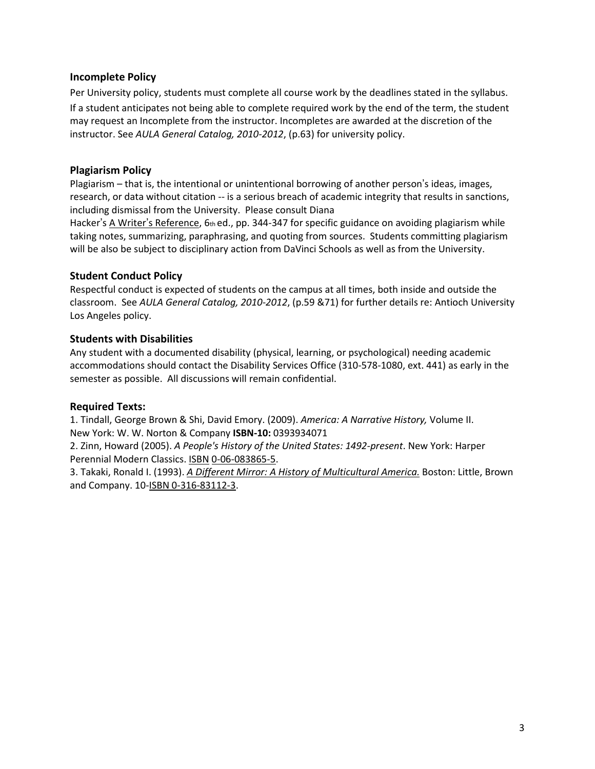### **Incomplete Policy**

Per University policy, students must complete all course work by the deadlines stated in the syllabus. If a student anticipates not being able to complete required work by the end of the term, the student may request an Incomplete from the instructor. Incompletes are awarded at the discretion of the instructor. See *AULA General Catalog, 2010-2012*, (p.63) for university policy.

### **Plagiarism Policy**

Plagiarism – that is, the intentional or unintentional borrowing of another person's ideas, images, research, or data without citation -- is a serious breach of academic integrity that results in sanctions, including dismissal from the University. Please consult Diana

Hacker's A Writer's Reference, 6th ed., pp. 344-347 for specific guidance on avoiding plagiarism while taking notes, summarizing, paraphrasing, and quoting from sources. Students committing plagiarism will be also be subject to disciplinary action from DaVinci Schools as well as from the University.

### **Student Conduct Policy**

Respectful conduct is expected of students on the campus at all times, both inside and outside the classroom. See *AULA General Catalog, 2010-2012*, (p.59 &71) for further details re: Antioch University Los Angeles policy.

### **Students with Disabilities**

Any student with a documented disability (physical, learning, or psychological) needing academic accommodations should contact the Disability Services Office (310-578-1080, ext. 441) as early in the semester as possible. All discussions will remain confidential.

#### **Required Texts:**

1. Tindall, George Brown & Shi, David Emory. (2009). *America: A Narrative History,* Volume II. New York: W. W. Norton & Company **ISBN-10:** 0393934071

2. Zinn, Howard (2005). *A People's History of the United States: 1492-present*. New York: Harper Perennial Modern Classics[. ISBN](http://en.wikipedia.org/wiki/International_Standard_Book_Number) [0-06-083865-5.](http://en.wikipedia.org/wiki/Special:BookSources/0-06-083865-5)

3. Takaki, Ronald I. (1993). *[A Different Mirror: A History of Multicultural America.](http://books.google.com/books?id=3XPbJAAACAAJ&dq=a+different+mirror&lr=&client=firefox-a)* Boston: Little, Brown and Company. 10[-ISBN 0-316-83112-3.](http://en.wikipedia.org/wiki/Special:BookSources/0316831123)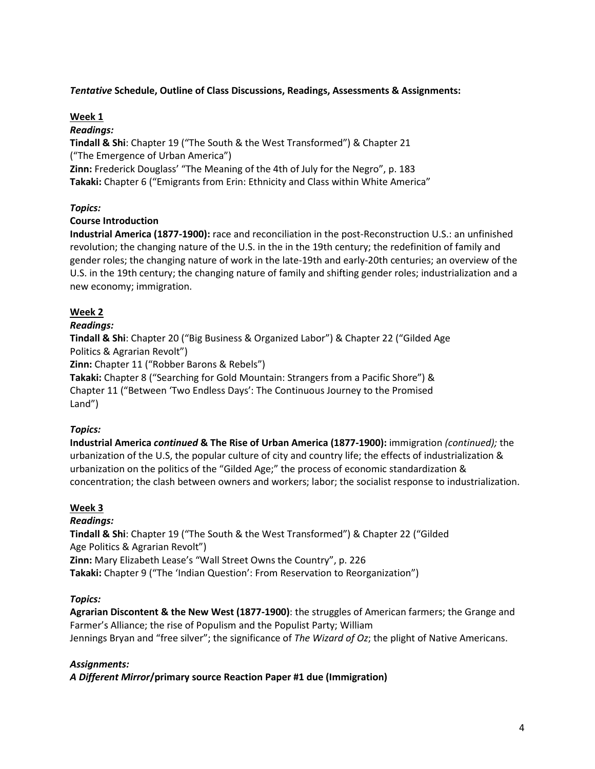## *Tentative* **Schedule, Outline of Class Discussions, Readings, Assessments & Assignments:**

#### **Week 1**

#### *Readings:*

**Tindall & Shi**: Chapter 19 ("The South & the West Transformed") & Chapter 21 ("The Emergence of Urban America") **Zinn:** Frederick Douglass' "The Meaning of the 4th of July for the Negro", p. 183 **Takaki:** Chapter 6 ("Emigrants from Erin: Ethnicity and Class within White America"

## *Topics:*

### **Course Introduction**

**Industrial America (1877-1900):** race and reconciliation in the post-Reconstruction U.S.: an unfinished revolution; the changing nature of the U.S. in the in the 19th century; the redefinition of family and gender roles; the changing nature of work in the late-19th and early-20th centuries; an overview of the U.S. in the 19th century; the changing nature of family and shifting gender roles; industrialization and a new economy; immigration.

## **Week 2**

### *Readings:*

**Tindall & Shi**: Chapter 20 ("Big Business & Organized Labor") & Chapter 22 ("Gilded Age Politics & Agrarian Revolt")

**Zinn:** Chapter 11 ("Robber Barons & Rebels")

**Takaki:** Chapter 8 ("Searching for Gold Mountain: Strangers from a Pacific Shore") & Chapter 11 ("Between 'Two Endless Days': The Continuous Journey to the Promised Land")

## *Topics:*

**Industrial America** *continued* **& The Rise of Urban America (1877-1900):** immigration *(continued);* the urbanization of the U.S, the popular culture of city and country life; the effects of industrialization & urbanization on the politics of the "Gilded Age;" the process of economic standardization & concentration; the clash between owners and workers; labor; the socialist response to industrialization.

#### **Week 3**

## *Readings:*

**Tindall & Shi**: Chapter 19 ("The South & the West Transformed") & Chapter 22 ("Gilded Age Politics & Agrarian Revolt") **Zinn:** Mary Elizabeth Lease's "Wall Street Owns the Country", p. 226 **Takaki:** Chapter 9 ("The 'Indian Question': From Reservation to Reorganization")

## *Topics:*

**Agrarian Discontent & the New West (1877-1900)**: the struggles of American farmers; the Grange and Farmer's Alliance; the rise of Populism and the Populist Party; William Jennings Bryan and "free silver"; the significance of *The Wizard of Oz*; the plight of Native Americans.

## *Assignments:*

*A Different Mirror***/primary source Reaction Paper #1 due (Immigration)**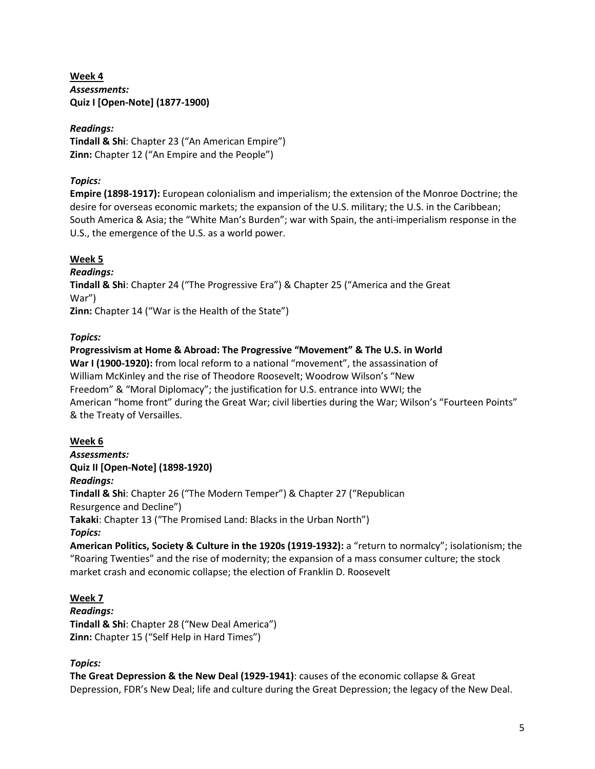**Week 4** *Assessments:* **Quiz I [Open-Note] (1877-1900)**

## *Readings:*

**Tindall & Shi**: Chapter 23 ("An American Empire") **Zinn:** Chapter 12 ("An Empire and the People")

## *Topics:*

**Empire (1898-1917):** European colonialism and imperialism; the extension of the Monroe Doctrine; the desire for overseas economic markets; the expansion of the U.S. military; the U.S. in the Caribbean; South America & Asia; the "White Man's Burden"; war with Spain, the anti-imperialism response in the U.S., the emergence of the U.S. as a world power.

## **Week 5**

*Readings:* **Tindall & Shi**: Chapter 24 ("The Progressive Era") & Chapter 25 ("America and the Great War") **Zinn:** Chapter 14 ("War is the Health of the State")

## *Topics:*

## **Progressivism at Home & Abroad: The Progressive "Movement" & The U.S. in World War I (1900-1920):** from local reform to a national "movement", the assassination of William McKinley and the rise of Theodore Roosevelt; Woodrow Wilson's "New Freedom" & "Moral Diplomacy"; the justification for U.S. entrance into WWI; the American "home front" during the Great War; civil liberties during the War; Wilson's "Fourteen Points" & the Treaty of Versailles.

## **Week 6**

*Assessments:* **Quiz II [Open-Note] (1898-1920)** *Readings:* **Tindall & Shi**: Chapter 26 ("The Modern Temper") & Chapter 27 ("Republican Resurgence and Decline") **Takaki**: Chapter 13 ("The Promised Land: Blacks in the Urban North") *Topics:* **American Politics, Society & Culture in the 1920s (1919-1932):** a "return to normalcy"; isolationism; the

"Roaring Twenties" and the rise of modernity; the expansion of a mass consumer culture; the stock market crash and economic collapse; the election of Franklin D. Roosevelt

# **Week 7**

*Readings:* **Tindall & Shi**: Chapter 28 ("New Deal America") **Zinn:** Chapter 15 ("Self Help in Hard Times")

# *Topics:*

**The Great Depression & the New Deal (1929-1941)**: causes of the economic collapse & Great Depression, FDR's New Deal; life and culture during the Great Depression; the legacy of the New Deal.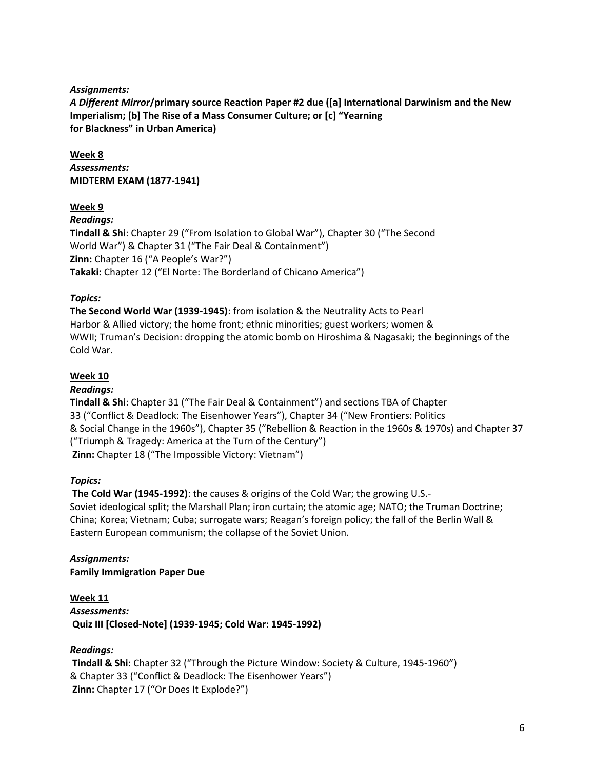### *Assignments:*

*A Different Mirror***/primary source Reaction Paper #2 due ([a] International Darwinism and the New Imperialism; [b] The Rise of a Mass Consumer Culture; or [c] "Yearning for Blackness" in Urban America)**

**Week 8** *Assessments:* **MIDTERM EXAM (1877-1941)**

## **Week 9**

*Readings:* **Tindall & Shi**: Chapter 29 ("From Isolation to Global War"), Chapter 30 ("The Second World War") & Chapter 31 ("The Fair Deal & Containment") **Zinn:** Chapter 16 ("A People's War?") **Takaki:** Chapter 12 ("El Norte: The Borderland of Chicano America")

### *Topics:*

**The Second World War (1939-1945)**: from isolation & the Neutrality Acts to Pearl Harbor & Allied victory; the home front; ethnic minorities; guest workers; women & WWII; Truman's Decision: dropping the atomic bomb on Hiroshima & Nagasaki; the beginnings of the Cold War.

### **Week 10**

#### *Readings:*

**Tindall & Shi**: Chapter 31 ("The Fair Deal & Containment") and sections TBA of Chapter 33 ("Conflict & Deadlock: The Eisenhower Years"), Chapter 34 ("New Frontiers: Politics & Social Change in the 1960s"), Chapter 35 ("Rebellion & Reaction in the 1960s & 1970s) and Chapter 37 ("Triumph & Tragedy: America at the Turn of the Century") **Zinn:** Chapter 18 ("The Impossible Victory: Vietnam")

## *Topics:*

**The Cold War (1945-1992)**: the causes & origins of the Cold War; the growing U.S.- Soviet ideological split; the Marshall Plan; iron curtain; the atomic age; NATO; the Truman Doctrine; China; Korea; Vietnam; Cuba; surrogate wars; Reagan's foreign policy; the fall of the Berlin Wall & Eastern European communism; the collapse of the Soviet Union.

*Assignments:* **Family Immigration Paper Due**

**Week 11** *Assessments:* **Quiz III [Closed-Note] (1939-1945; Cold War: 1945-1992)**

#### *Readings:*

**Tindall & Shi**: Chapter 32 ("Through the Picture Window: Society & Culture, 1945-1960") & Chapter 33 ("Conflict & Deadlock: The Eisenhower Years") **Zinn:** Chapter 17 ("Or Does It Explode?")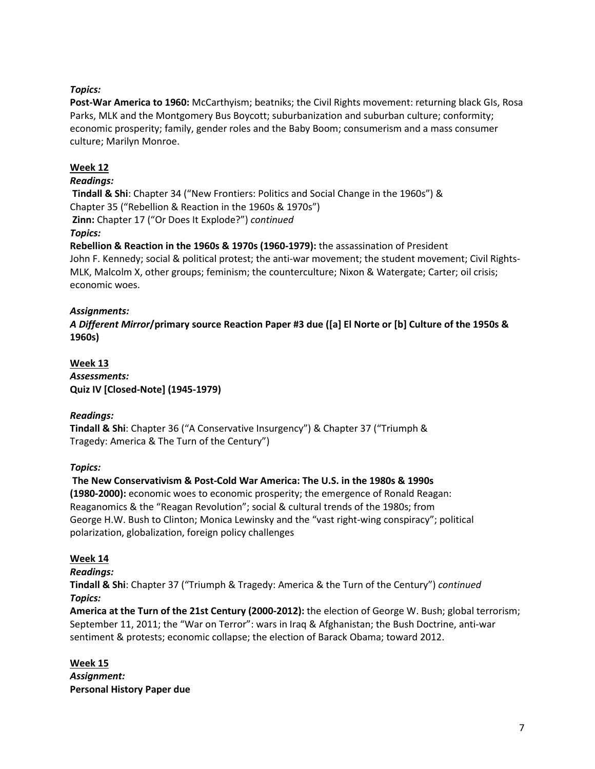## *Topics:*

**Post-War America to 1960:** McCarthyism; beatniks; the Civil Rights movement: returning black GIs, Rosa Parks, MLK and the Montgomery Bus Boycott; suburbanization and suburban culture; conformity; economic prosperity; family, gender roles and the Baby Boom; consumerism and a mass consumer culture; Marilyn Monroe.

## **Week 12**

#### *Readings:*

**Tindall & Shi**: Chapter 34 ("New Frontiers: Politics and Social Change in the 1960s") & Chapter 35 ("Rebellion & Reaction in the 1960s & 1970s") **Zinn:** Chapter 17 ("Or Does It Explode?") *continued*

### *Topics:*

**Rebellion & Reaction in the 1960s & 1970s (1960-1979):** the assassination of President John F. Kennedy; social & political protest; the anti-war movement; the student movement; Civil Rights-MLK, Malcolm X, other groups; feminism; the counterculture; Nixon & Watergate; Carter; oil crisis; economic woes.

### *Assignments:*

*A Different Mirror***/primary source Reaction Paper #3 due ([a] El Norte or [b] Culture of the 1950s & 1960s)**

**Week 13** *Assessments:* **Quiz IV [Closed-Note] (1945-1979)**

## *Readings:*

**Tindall & Shi**: Chapter 36 ("A Conservative Insurgency") & Chapter 37 ("Triumph & Tragedy: America & The Turn of the Century")

#### *Topics:*

## **The New Conservativism & Post-Cold War America: The U.S. in the 1980s & 1990s**

**(1980-2000):** economic woes to economic prosperity; the emergence of Ronald Reagan: Reaganomics & the "Reagan Revolution"; social & cultural trends of the 1980s; from George H.W. Bush to Clinton; Monica Lewinsky and the "vast right-wing conspiracy"; political polarization, globalization, foreign policy challenges

#### **Week 14**

#### *Readings:*

**Tindall & Shi**: Chapter 37 ("Triumph & Tragedy: America & the Turn of the Century") *continued Topics:*

**America at the Turn of the 21st Century (2000-2012):** the election of George W. Bush; global terrorism; September 11, 2011; the "War on Terror": wars in Iraq & Afghanistan; the Bush Doctrine, anti-war sentiment & protests; economic collapse; the election of Barack Obama; toward 2012.

#### **Week 15** *Assignment:* **Personal History Paper due**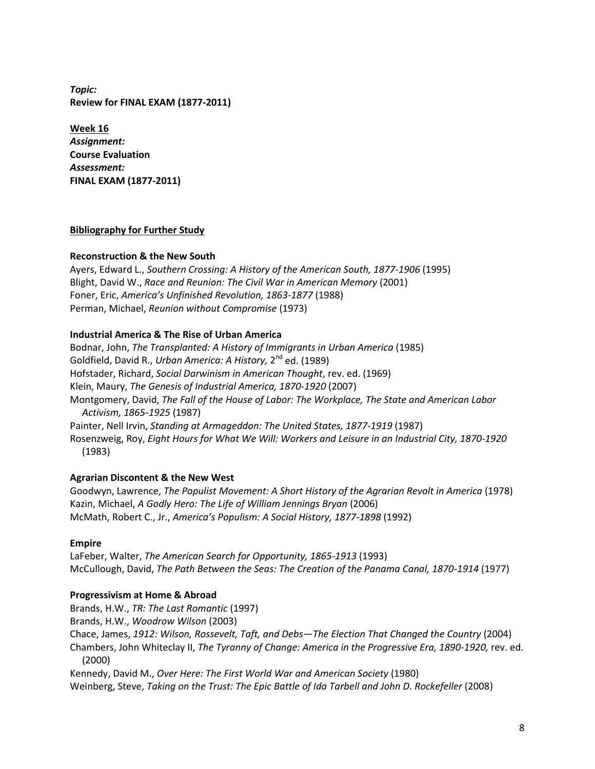*Topic:* **Review for FINAL EXAM (1877-2011)**

**Week 16** *Assignment:* **Course Evaluation** *Assessment:* **FINAL EXAM (1877-2011)**

### **Bibliography for Further Study**

#### **Reconstruction & the New South**

Ayers, Edward L., *Southern Crossing: A History of the American South, 1877-1906* (1995) Blight, David W., *Race and Reunion: The Civil War in American Memory* (2001) Foner, Eric, *America's Unfinished Revolution, 1863-1877* (1988) Perman, Michael, *Reunion without Compromise* (1973)

### **Industrial America & The Rise of Urban America**

Bodnar, John, *The Transplanted: A History of Immigrants in Urban America* (1985) Goldfield, David R., *Urban America: A History,* 2nd ed. (1989) Hofstader, Richard, *Social Darwinism in American Thought*, rev. ed. (1969) Klein, Maury, *The Genesis of Industrial America, 1870-1920* (2007) Montgomery, David, *The Fall of the House of Labor: The Workplace, The State and American Labor Activism, 1865-1925* (1987) Painter, Nell Irvin, *Standing at Armageddon: The United States, 1877-1919* (1987) Rosenzweig, Roy, *Eight Hours for What We Will: Workers and Leisure in an Industrial City, 1870-1920* (1983)

#### **Agrarian Discontent & the New West**

Goodwyn, Lawrence, *The Populist Movement: A Short History of the Agrarian Revolt in America* (1978) Kazin, Michael, *A Godly Hero: The Life of William Jennings Bryan* (2006) McMath, Robert C., Jr., *America's Populism: A Social History, 1877-1898* (1992)

#### **Empire**

LaFeber, Walter, *The American Search for Opportunity, 1865-1913* (1993) McCullough, David, *The Path Between the Seas: The Creation of the Panama Canal, 1870-1914* (1977)

#### **Progressivism at Home & Abroad**

Brands, H.W., *TR: The Last Romantic* (1997) Brands, H.W., *Woodrow Wilson* (2003) Chace, James, *1912: Wilson, Rossevelt, Taft, and Debs—The Election That Changed the Country* (2004) Chambers, John Whiteclay II, *The Tyranny of Change: America in the Progressive Era, 1890-1920,* rev. ed. (2000) Kennedy, David M., *Over Here: The First World War and American Society* (1980)

Weinberg, Steve, *Taking on the Trust: The Epic Battle of Ida Tarbell and John D. Rockefeller* (2008)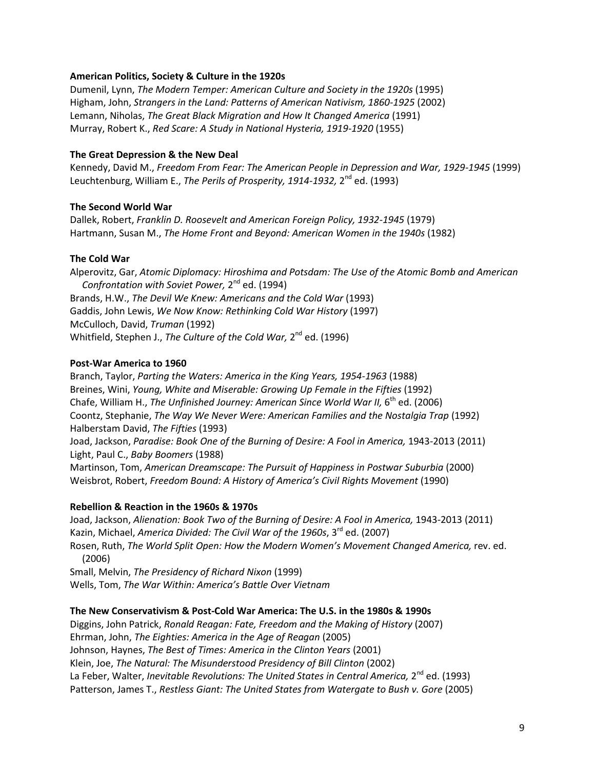#### **American Politics, Society & Culture in the 1920s**

Dumenil, Lynn, *The Modern Temper: American Culture and Society in the 1920s* (1995) Higham, John, *Strangers in the Land: Patterns of American Nativism, 1860-1925* (2002) Lemann, Niholas, *The Great Black Migration and How It Changed America* (1991) Murray, Robert K., *Red Scare: A Study in National Hysteria, 1919-1920* (1955)

#### **The Great Depression & the New Deal**

Kennedy, David M., *Freedom From Fear: The American People in Depression and War, 1929-1945* (1999) Leuchtenburg, William E., *The Perils of Prosperity, 1914-1932*, 2<sup>nd</sup> ed. (1993)

#### **The Second World War**

Dallek, Robert, *Franklin D. Roosevelt and American Foreign Policy, 1932-1945* (1979) Hartmann, Susan M., *The Home Front and Beyond: American Women in the 1940s* (1982)

#### **The Cold War**

Alperovitz, Gar, *Atomic Diplomacy: Hiroshima and Potsdam: The Use of the Atomic Bomb and American Confrontation with Soviet Power,* 2nd ed. (1994) Brands, H.W., *The Devil We Knew: Americans and the Cold War* (1993) Gaddis, John Lewis, *We Now Know: Rethinking Cold War History* (1997) McCulloch, David, *Truman* (1992) Whitfield, Stephen J., *The Culture of the Cold War*, 2<sup>nd</sup> ed. (1996)

#### **Post-War America to 1960**

Branch, Taylor, *Parting the Waters: America in the King Years, 1954-1963* (1988) Breines, Wini, *Young, White and Miserable: Growing Up Female in the Fifties* (1992) Chafe, William H., *The Unfinished Journey: American Since World War II*, 6<sup>th</sup> ed. (2006) Coontz, Stephanie, *The Way We Never Were: American Families and the Nostalgia Trap* (1992) Halberstam David, *The Fifties* (1993) Joad, Jackson, *Paradise: Book One of the Burning of Desire: A Fool in America,* 1943-2013 (2011) Light, Paul C., *Baby Boomers* (1988) Martinson, Tom, *American Dreamscape: The Pursuit of Happiness in Postwar Suburbia* (2000) Weisbrot, Robert, *Freedom Bound: A History of America's Civil Rights Movement* (1990)

#### **Rebellion & Reaction in the 1960s & 1970s**

Joad, Jackson, Alienation: Book Two of the Burning of Desire: A Fool in America, 1943-2013 (2011) Kazin, Michael, *America Divided: The Civil War of the 1960s*, 3rd ed. (2007) Rosen, Ruth, *The World Split Open: How the Modern Women's Movement Changed America,* rev. ed. (2006)

Small, Melvin, *The Presidency of Richard Nixon* (1999) Wells, Tom, *The War Within: America's Battle Over Vietnam*

#### **The New Conservativism & Post-Cold War America: The U.S. in the 1980s & 1990s**

Diggins, John Patrick, *Ronald Reagan: Fate, Freedom and the Making of History* (2007) Ehrman, John, *The Eighties: America in the Age of Reagan* (2005) Johnson, Haynes, *The Best of Times: America in the Clinton Years* (2001) Klein, Joe, *The Natural: The Misunderstood Presidency of Bill Clinton* (2002) La Feber, Walter, *Inevitable Revolutions: The United States in Central America*, 2<sup>nd</sup> ed. (1993) Patterson, James T., *Restless Giant: The United States from Watergate to Bush v. Gore* (2005)